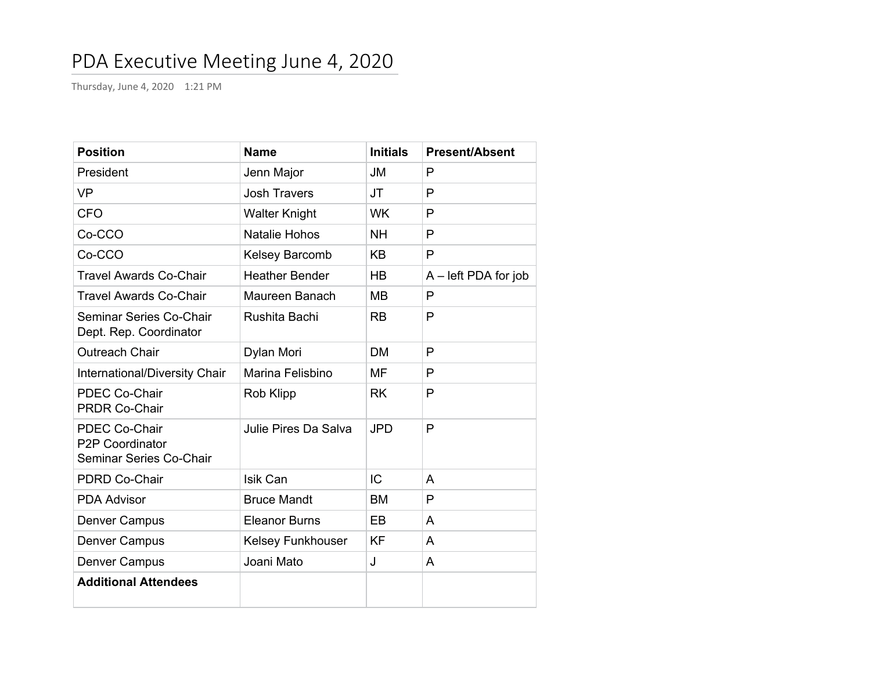## PDA Executive Meeting June 4, 2020

Thursday, June 4, 2020 1:21 PM

| <b>Position</b>                                                           | <b>Name</b>           | <b>Initials</b> | <b>Present/Absent</b>  |
|---------------------------------------------------------------------------|-----------------------|-----------------|------------------------|
| President                                                                 | Jenn Major            | <b>JM</b>       | P                      |
| <b>VP</b>                                                                 | <b>Josh Travers</b>   | <b>JT</b>       | P                      |
| <b>CFO</b>                                                                | <b>Walter Knight</b>  | <b>WK</b>       | P                      |
| Co-CCO                                                                    | <b>Natalie Hohos</b>  | <b>NH</b>       | P                      |
| Co-CCO                                                                    | Kelsey Barcomb        | <b>KB</b>       | P                      |
| <b>Travel Awards Co-Chair</b>                                             | <b>Heather Bender</b> | HB              | $A$ – left PDA for job |
| Travel Awards Co-Chair                                                    | Maureen Banach        | <b>MB</b>       | P                      |
| Seminar Series Co-Chair<br>Dept. Rep. Coordinator                         | Rushita Bachi         | <b>RB</b>       | P                      |
| <b>Outreach Chair</b>                                                     | Dylan Mori            | <b>DM</b>       | P                      |
| International/Diversity Chair                                             | Marina Felisbino      | MF              | P                      |
| <b>PDEC Co-Chair</b><br><b>PRDR Co-Chair</b>                              | <b>Rob Klipp</b>      | <b>RK</b>       | P                      |
| <b>PDEC Co-Chair</b><br><b>P2P Coordinator</b><br>Seminar Series Co-Chair | Julie Pires Da Salva  | <b>JPD</b>      | $\mathsf{P}$           |
| <b>PDRD Co-Chair</b>                                                      | Isik Can              | IC              | A                      |
| <b>PDA Advisor</b>                                                        | <b>Bruce Mandt</b>    | <b>BM</b>       | $\mathsf{P}$           |
| <b>Denver Campus</b>                                                      | <b>Eleanor Burns</b>  | EB              | A                      |
| <b>Denver Campus</b>                                                      | Kelsey Funkhouser     | <b>KF</b>       | A                      |
| <b>Denver Campus</b>                                                      | Joani Mato            | J               | A                      |
| <b>Additional Attendees</b>                                               |                       |                 |                        |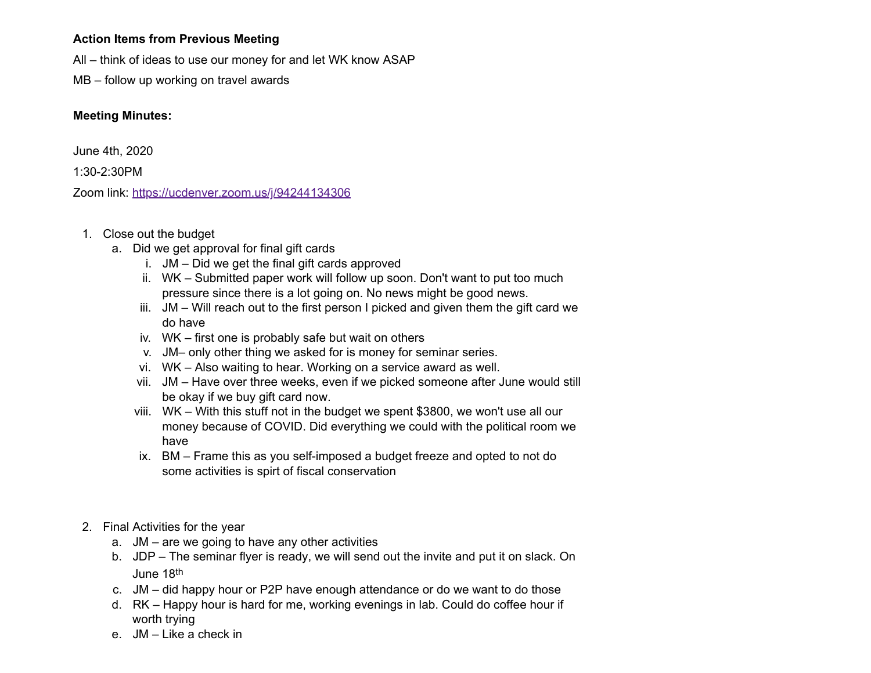## **Action Items from Previous Meeting**

All – think of ideas to use our money for and let WK know ASAP

MB – follow up working on travel awards

## **Meeting Minutes:**

June 4th, 2020

1:30-2:30PM

Zoom link: <https://ucdenver.zoom.us/j/94244134306>

- 1. Close out the budget
	- a. Did we get approval for final gift cards
		- i. JM Did we get the final gift cards approved
		- ii. WK Submitted paper work will follow up soon. Don't want to put too much pressure since there is a lot going on. No news might be good news.
		- iii. JM Will reach out to the first person I picked and given them the gift card we do have
		- iv. WK first one is probably safe but wait on others
		- v. JM– only other thing we asked for is money for seminar series.
		- vi. WK Also waiting to hear. Working on a service award as well.
		- vii. JM Have over three weeks, even if we picked someone after June would still be okay if we buy gift card now.
		- viii. WK With this stuff not in the budget we spent \$3800, we won't use all our money because of COVID. Did everything we could with the political room we have
		- ix. BM Frame this as you self-imposed a budget freeze and opted to not do some activities is spirt of fiscal conservation
- 2. Final Activities for the year
	- a. JM are we going to have any other activities
	- b. JDP The seminar flyer is ready, we will send out the invite and put it on slack. On June 18th
	- c. JM did happy hour or P2P have enough attendance or do we want to do those
	- d. RK Happy hour is hard for me, working evenings in lab. Could do coffee hour if worth trying
	- e. JM Like a check in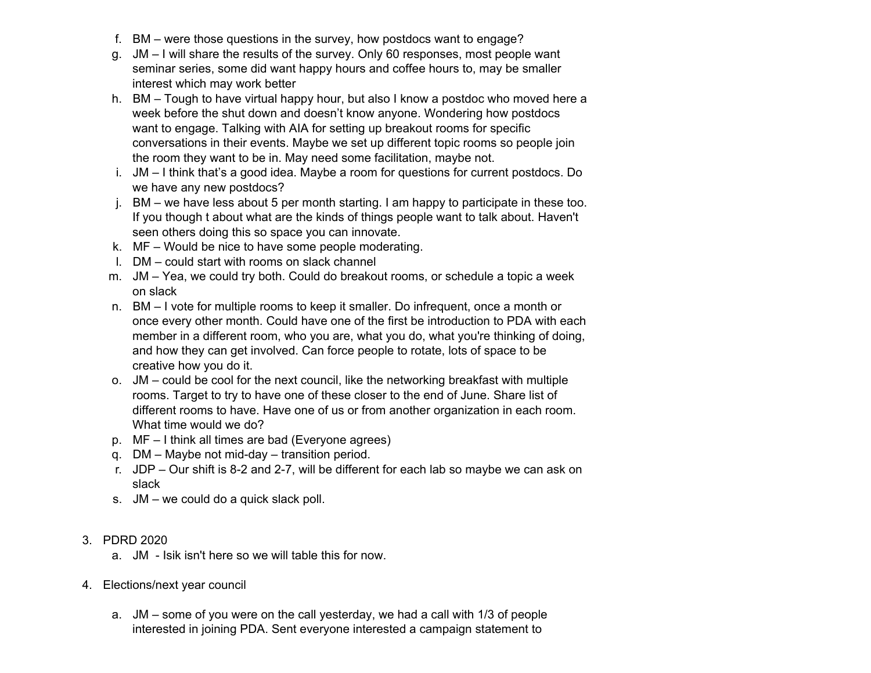- f. BM were those questions in the survey, how postdocs want to engage?
- g. JM I will share the results of the survey. Only 60 responses, most people want seminar series, some did want happy hours and coffee hours to, may be smaller interest which may work better
- h. BM Tough to have virtual happy hour, but also I know a postdoc who moved here a week before the shut down and doesn't know anyone. Wondering how postdocs want to engage. Talking with AIA for setting up breakout rooms for specific conversations in their events. Maybe we set up different topic rooms so people join the room they want to be in. May need some facilitation, maybe not.
- i. JM I think that's a good idea. Maybe a room for questions for current postdocs. Do we have any new postdocs?
- j. BM we have less about 5 per month starting. I am happy to participate in these too. If you though t about what are the kinds of things people want to talk about. Haven't seen others doing this so space you can innovate.
- k. MF Would be nice to have some people moderating.
- l. DM could start with rooms on slack channel
- m. JM Yea, we could try both. Could do breakout rooms, or schedule a topic a week on slack
- n. BM I vote for multiple rooms to keep it smaller. Do infrequent, once a month or once every other month. Could have one of the first be introduction to PDA with each member in a different room, who you are, what you do, what you're thinking of doing, and how they can get involved. Can force people to rotate, lots of space to be creative how you do it.
- o. JM could be cool for the next council, like the networking breakfast with multiple rooms. Target to try to have one of these closer to the end of June. Share list of different rooms to have. Have one of us or from another organization in each room. What time would we do?
- p. MF I think all times are bad (Everyone agrees)
- q. DM Maybe not mid-day transition period.
- r. JDP Our shift is 8-2 and 2-7, will be different for each lab so maybe we can ask on slack
- s. JM we could do a quick slack poll.
- 3. PDRD 2020
	- a. JM Isik isn't here so we will table this for now.
- 4. Elections/next year council
	- a. JM some of you were on the call yesterday, we had a call with 1/3 of people interested in joining PDA. Sent everyone interested a campaign statement to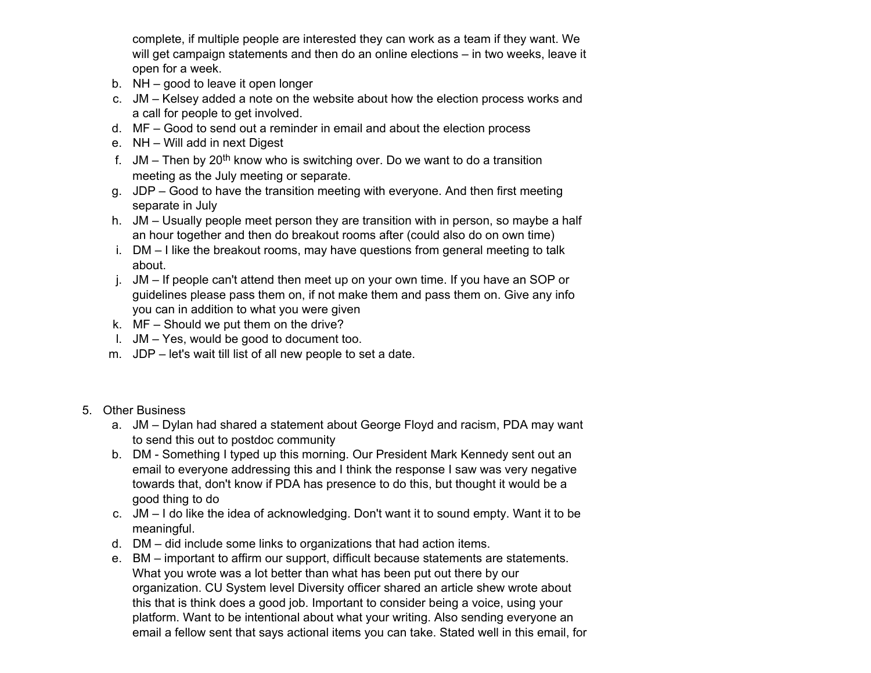complete, if multiple people are interested they can work as a team if they want. We will get campaign statements and then do an online elections – in two weeks, leave it open for a week.

- b. NH good to leave it open longer
- c. JM Kelsey added a note on the website about how the election process works and a call for people to get involved.
- d. MF Good to send out a reminder in email and about the election process
- e. NH Will add in next Digest
- f. JM Then by 20<sup>th</sup> know who is switching over. Do we want to do a transition meeting as the July meeting or separate.
- g. JDP Good to have the transition meeting with everyone. And then first meeting separate in July
- h. JM Usually people meet person they are transition with in person, so maybe a half an hour together and then do breakout rooms after (could also do on own time)
- i. DM I like the breakout rooms, may have questions from general meeting to talk about.
- j. JM If people can't attend then meet up on your own time. If you have an SOP or guidelines please pass them on, if not make them and pass them on. Give any info you can in addition to what you were given
- k. MF Should we put them on the drive?
- l. JM Yes, would be good to document too.
- m. JDP let's wait till list of all new people to set a date.
- 5. Other Business
	- a. JM Dylan had shared a statement about George Floyd and racism, PDA may want to send this out to postdoc community
	- b. DM Something I typed up this morning. Our President Mark Kennedy sent out an email to everyone addressing this and I think the response I saw was very negative towards that, don't know if PDA has presence to do this, but thought it would be a good thing to do
	- c. JM I do like the idea of acknowledging. Don't want it to sound empty. Want it to be meaningful.
	- d. DM did include some links to organizations that had action items.
	- e. BM important to affirm our support, difficult because statements are statements. What you wrote was a lot better than what has been put out there by our organization. CU System level Diversity officer shared an article shew wrote about this that is think does a good job. Important to consider being a voice, using your platform. Want to be intentional about what your writing. Also sending everyone an email a fellow sent that says actional items you can take. Stated well in this email, for